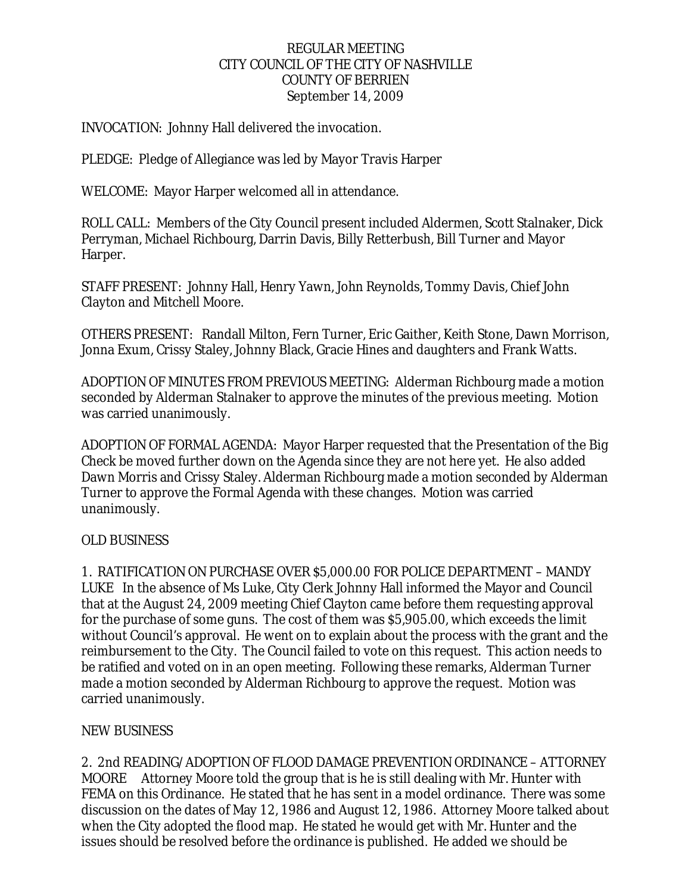### REGULAR MEETING CITY COUNCIL OF THE CITY OF NASHVILLE COUNTY OF BERRIEN September 14, 2009

### INVOCATION: Johnny Hall delivered the invocation.

PLEDGE: Pledge of Allegiance was led by Mayor Travis Harper

WELCOME: Mayor Harper welcomed all in attendance.

ROLL CALL: Members of the City Council present included Aldermen, Scott Stalnaker, Dick Perryman, Michael Richbourg, Darrin Davis, Billy Retterbush, Bill Turner and Mayor Harper.

STAFF PRESENT: Johnny Hall, Henry Yawn, John Reynolds, Tommy Davis, Chief John Clayton and Mitchell Moore.

OTHERS PRESENT: Randall Milton, Fern Turner, Eric Gaither, Keith Stone, Dawn Morrison, Jonna Exum, Crissy Staley, Johnny Black, Gracie Hines and daughters and Frank Watts.

ADOPTION OF MINUTES FROM PREVIOUS MEETING: Alderman Richbourg made a motion seconded by Alderman Stalnaker to approve the minutes of the previous meeting. Motion was carried unanimously.

ADOPTION OF FORMAL AGENDA: Mayor Harper requested that the Presentation of the Big Check be moved further down on the Agenda since they are not here yet. He also added Dawn Morris and Crissy Staley. Alderman Richbourg made a motion seconded by Alderman Turner to approve the Formal Agenda with these changes. Motion was carried unanimously.

### OLD BUSINESS

1. RATIFICATION ON PURCHASE OVER \$5,000.00 FOR POLICE DEPARTMENT – MANDY LUKE In the absence of Ms Luke, City Clerk Johnny Hall informed the Mayor and Council that at the August 24, 2009 meeting Chief Clayton came before them requesting approval for the purchase of some guns. The cost of them was \$5,905.00, which exceeds the limit without Council's approval. He went on to explain about the process with the grant and the reimbursement to the City. The Council failed to vote on this request. This action needs to be ratified and voted on in an open meeting. Following these remarks, Alderman Turner made a motion seconded by Alderman Richbourg to approve the request. Motion was carried unanimously.

### NEW BUSINESS

2. 2nd READING/ADOPTION OF FLOOD DAMAGE PREVENTION ORDINANCE – ATTORNEY MOORE Attorney Moore told the group that is he is still dealing with Mr. Hunter with FEMA on this Ordinance. He stated that he has sent in a model ordinance. There was some discussion on the dates of May 12, 1986 and August 12, 1986. Attorney Moore talked about when the City adopted the flood map. He stated he would get with Mr. Hunter and the issues should be resolved before the ordinance is published. He added we should be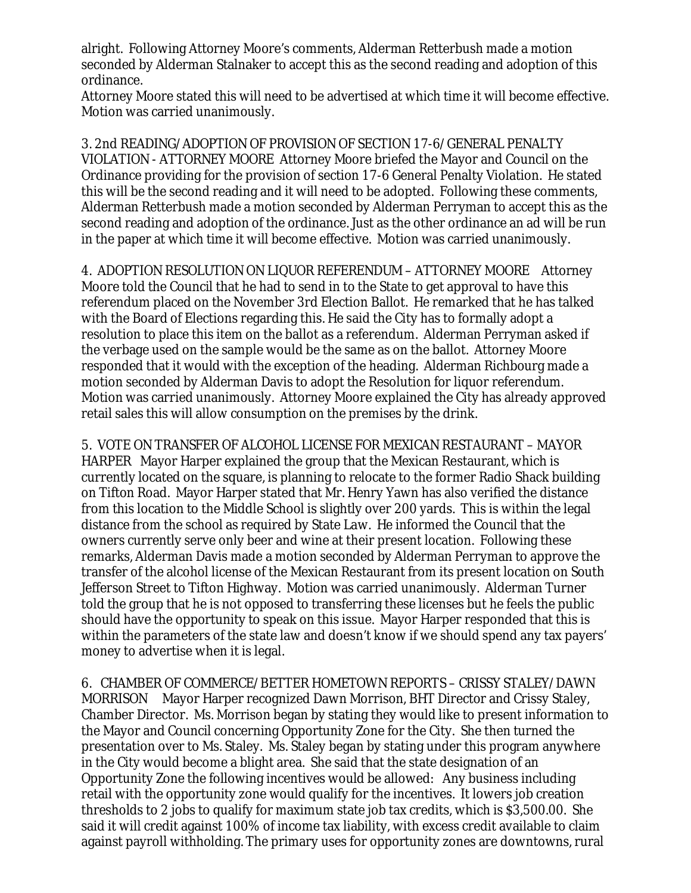alright. Following Attorney Moore's comments, Alderman Retterbush made a motion seconded by Alderman Stalnaker to accept this as the second reading and adoption of this ordinance.

Attorney Moore stated this will need to be advertised at which time it will become effective. Motion was carried unanimously.

3. 2nd READING/ADOPTION OF PROVISION OF SECTION 17-6/GENERAL PENALTY VIOLATION - ATTORNEY MOORE Attorney Moore briefed the Mayor and Council on the Ordinance providing for the provision of section 17-6 General Penalty Violation. He stated this will be the second reading and it will need to be adopted. Following these comments, Alderman Retterbush made a motion seconded by Alderman Perryman to accept this as the second reading and adoption of the ordinance. Just as the other ordinance an ad will be run in the paper at which time it will become effective. Motion was carried unanimously.

4. ADOPTION RESOLUTION ON LIQUOR REFERENDUM – ATTORNEY MOORE Attorney Moore told the Council that he had to send in to the State to get approval to have this referendum placed on the November 3rd Election Ballot. He remarked that he has talked with the Board of Elections regarding this. He said the City has to formally adopt a resolution to place this item on the ballot as a referendum. Alderman Perryman asked if the verbage used on the sample would be the same as on the ballot. Attorney Moore responded that it would with the exception of the heading. Alderman Richbourg made a motion seconded by Alderman Davis to adopt the Resolution for liquor referendum. Motion was carried unanimously. Attorney Moore explained the City has already approved retail sales this will allow consumption on the premises by the drink.

5. VOTE ON TRANSFER OF ALCOHOL LICENSE FOR MEXICAN RESTAURANT – MAYOR HARPER Mayor Harper explained the group that the Mexican Restaurant, which is currently located on the square, is planning to relocate to the former Radio Shack building on Tifton Road. Mayor Harper stated that Mr. Henry Yawn has also verified the distance from this location to the Middle School is slightly over 200 yards. This is within the legal distance from the school as required by State Law. He informed the Council that the owners currently serve only beer and wine at their present location. Following these remarks, Alderman Davis made a motion seconded by Alderman Perryman to approve the transfer of the alcohol license of the Mexican Restaurant from its present location on South Jefferson Street to Tifton Highway. Motion was carried unanimously. Alderman Turner told the group that he is not opposed to transferring these licenses but he feels the public should have the opportunity to speak on this issue. Mayor Harper responded that this is within the parameters of the state law and doesn't know if we should spend any tax payers' money to advertise when it is legal.

6. CHAMBER OF COMMERCE/BETTER HOMETOWN REPORTS – CRISSY STALEY/DAWN MORRISON Mayor Harper recognized Dawn Morrison, BHT Director and Crissy Staley, Chamber Director. Ms. Morrison began by stating they would like to present information to the Mayor and Council concerning Opportunity Zone for the City. She then turned the presentation over to Ms. Staley. Ms. Staley began by stating under this program anywhere in the City would become a blight area. She said that the state designation of an Opportunity Zone the following incentives would be allowed: Any business including retail with the opportunity zone would qualify for the incentives. It lowers job creation thresholds to 2 jobs to qualify for maximum state job tax credits, which is \$3,500.00. She said it will credit against 100% of income tax liability, with excess credit available to claim against payroll withholding. The primary uses for opportunity zones are downtowns, rural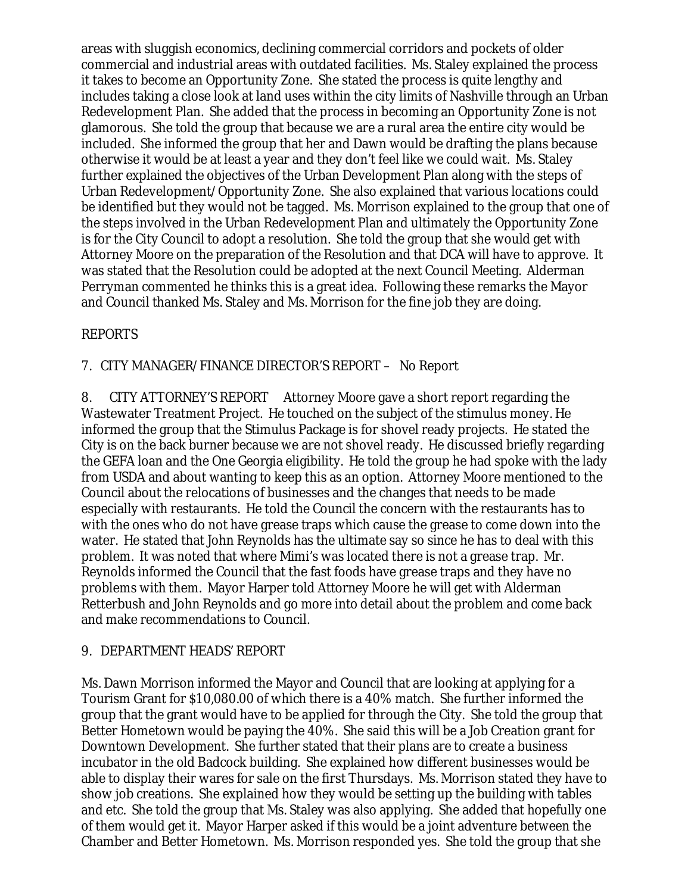areas with sluggish economics, declining commercial corridors and pockets of older commercial and industrial areas with outdated facilities. Ms. Staley explained the process it takes to become an Opportunity Zone. She stated the process is quite lengthy and includes taking a close look at land uses within the city limits of Nashville through an Urban Redevelopment Plan. She added that the process in becoming an Opportunity Zone is not glamorous. She told the group that because we are a rural area the entire city would be included. She informed the group that her and Dawn would be drafting the plans because otherwise it would be at least a year and they don't feel like we could wait. Ms. Staley further explained the objectives of the Urban Development Plan along with the steps of Urban Redevelopment/Opportunity Zone. She also explained that various locations could be identified but they would not be tagged. Ms. Morrison explained to the group that one of the steps involved in the Urban Redevelopment Plan and ultimately the Opportunity Zone is for the City Council to adopt a resolution. She told the group that she would get with Attorney Moore on the preparation of the Resolution and that DCA will have to approve. It was stated that the Resolution could be adopted at the next Council Meeting. Alderman Perryman commented he thinks this is a great idea. Following these remarks the Mayor and Council thanked Ms. Staley and Ms. Morrison for the fine job they are doing.

# REPORTS

7. CITY MANAGER/FINANCE DIRECTOR'S REPORT – No Report

8. CITY ATTORNEY'S REPORT Attorney Moore gave a short report regarding the Wastewater Treatment Project. He touched on the subject of the stimulus money. He informed the group that the Stimulus Package is for shovel ready projects. He stated the City is on the back burner because we are not shovel ready. He discussed briefly regarding the GEFA loan and the One Georgia eligibility. He told the group he had spoke with the lady from USDA and about wanting to keep this as an option. Attorney Moore mentioned to the Council about the relocations of businesses and the changes that needs to be made especially with restaurants. He told the Council the concern with the restaurants has to with the ones who do not have grease traps which cause the grease to come down into the water. He stated that John Reynolds has the ultimate say so since he has to deal with this problem. It was noted that where Mimi's was located there is not a grease trap. Mr. Reynolds informed the Council that the fast foods have grease traps and they have no problems with them. Mayor Harper told Attorney Moore he will get with Alderman Retterbush and John Reynolds and go more into detail about the problem and come back and make recommendations to Council.

# 9. DEPARTMENT HEADS' REPORT

Ms. Dawn Morrison informed the Mayor and Council that are looking at applying for a Tourism Grant for \$10,080.00 of which there is a 40% match. She further informed the group that the grant would have to be applied for through the City. She told the group that Better Hometown would be paying the 40%. She said this will be a Job Creation grant for Downtown Development. She further stated that their plans are to create a business incubator in the old Badcock building. She explained how different businesses would be able to display their wares for sale on the first Thursdays. Ms. Morrison stated they have to show job creations. She explained how they would be setting up the building with tables and etc. She told the group that Ms. Staley was also applying. She added that hopefully one of them would get it. Mayor Harper asked if this would be a joint adventure between the Chamber and Better Hometown. Ms. Morrison responded yes. She told the group that she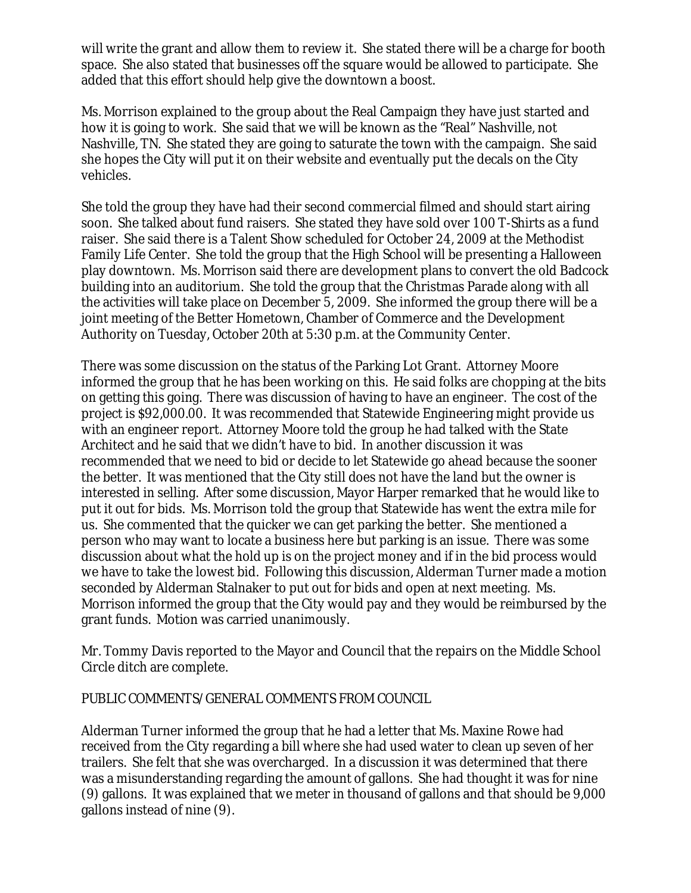will write the grant and allow them to review it. She stated there will be a charge for booth space. She also stated that businesses off the square would be allowed to participate. She added that this effort should help give the downtown a boost.

Ms. Morrison explained to the group about the Real Campaign they have just started and how it is going to work. She said that we will be known as the "Real" Nashville, not Nashville, TN. She stated they are going to saturate the town with the campaign. She said she hopes the City will put it on their website and eventually put the decals on the City vehicles.

She told the group they have had their second commercial filmed and should start airing soon. She talked about fund raisers. She stated they have sold over 100 T-Shirts as a fund raiser. She said there is a Talent Show scheduled for October 24, 2009 at the Methodist Family Life Center. She told the group that the High School will be presenting a Halloween play downtown. Ms. Morrison said there are development plans to convert the old Badcock building into an auditorium. She told the group that the Christmas Parade along with all the activities will take place on December 5, 2009. She informed the group there will be a joint meeting of the Better Hometown, Chamber of Commerce and the Development Authority on Tuesday, October 20th at 5:30 p.m. at the Community Center.

There was some discussion on the status of the Parking Lot Grant. Attorney Moore informed the group that he has been working on this. He said folks are chopping at the bits on getting this going. There was discussion of having to have an engineer. The cost of the project is \$92,000.00. It was recommended that Statewide Engineering might provide us with an engineer report. Attorney Moore told the group he had talked with the State Architect and he said that we didn't have to bid. In another discussion it was recommended that we need to bid or decide to let Statewide go ahead because the sooner the better. It was mentioned that the City still does not have the land but the owner is interested in selling. After some discussion, Mayor Harper remarked that he would like to put it out for bids. Ms. Morrison told the group that Statewide has went the extra mile for us. She commented that the quicker we can get parking the better. She mentioned a person who may want to locate a business here but parking is an issue. There was some discussion about what the hold up is on the project money and if in the bid process would we have to take the lowest bid. Following this discussion, Alderman Turner made a motion seconded by Alderman Stalnaker to put out for bids and open at next meeting. Ms. Morrison informed the group that the City would pay and they would be reimbursed by the grant funds. Motion was carried unanimously.

Mr. Tommy Davis reported to the Mayor and Council that the repairs on the Middle School Circle ditch are complete.

PUBLIC COMMENTS/GENERAL COMMENTS FROM COUNCIL

Alderman Turner informed the group that he had a letter that Ms. Maxine Rowe had received from the City regarding a bill where she had used water to clean up seven of her trailers. She felt that she was overcharged. In a discussion it was determined that there was a misunderstanding regarding the amount of gallons. She had thought it was for nine (9) gallons. It was explained that we meter in thousand of gallons and that should be 9,000 gallons instead of nine (9).